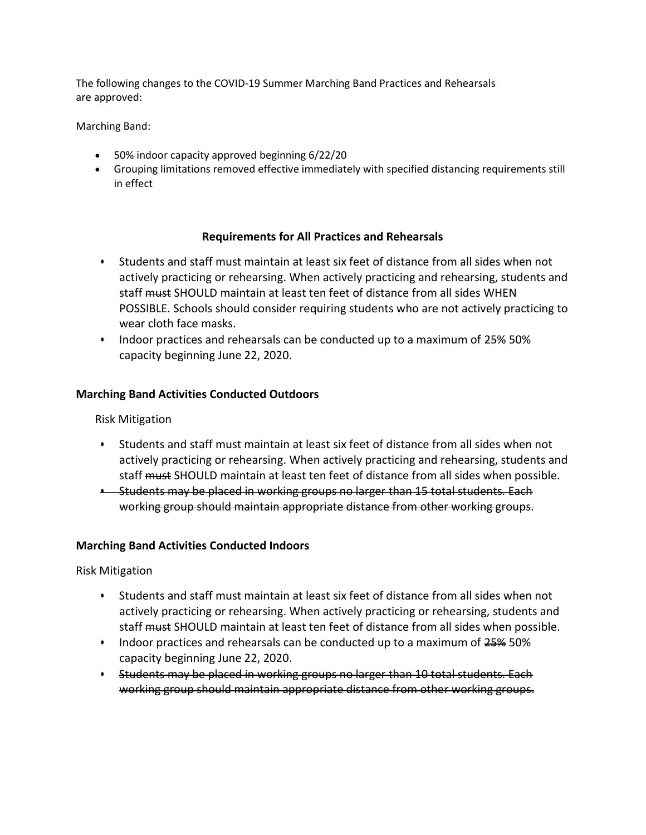The following changes to the COVID-19 Summer Marching Band Practices and Rehearsals are approved:

Marching Band:

- 50% indoor capacity approved beginning 6/22/20
- Grouping limitations removed effective immediately with specified distancing requirements still in effect

#### **Requirements for All Practices and Rehearsals**

- Students and staff must maintain at least six feet of distance from all sides when not actively practicing or rehearsing. When actively practicing and rehearsing, students and staff must SHOULD maintain at least ten feet of distance from all sides WHEN POSSIBLE. Schools should consider requiring students who are not actively practicing to wear cloth face masks.
- Indoor practices and rehearsals can be conducted up to a maximum of 25% 50% capacity beginning June 22, 2020.

### **Marching Band Activities Conducted Outdoors**

Risk Mitigation

- Students and staff must maintain at least six feet of distance from all sides when not actively practicing or rehearsing. When actively practicing and rehearsing, students and staff must SHOULD maintain at least ten feet of distance from all sides when possible.
- Students may be placed in working groups no larger than 15 total students. Each working group should maintain appropriate distance from other working groups.

#### **Marching Band Activities Conducted Indoors**

Risk Mitigation

- Students and staff must maintain at least six feet of distance from all sides when not actively practicing or rehearsing. When actively practicing or rehearsing, students and staff must SHOULD maintain at least ten feet of distance from all sides when possible.
- Indoor practices and rehearsals can be conducted up to a maximum of 25% 50% capacity beginning June 22, 2020.
- Students may be placed in working groups no larger than 10 total students. Each working group should maintain appropriate distance from other working groups.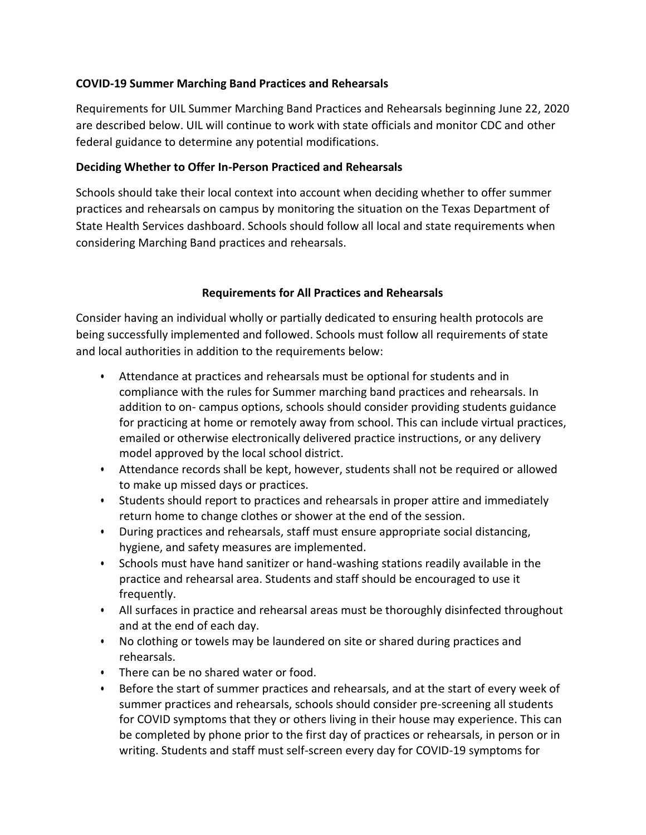# **COVID-19 Summer Marching Band Practices and Rehearsals**

Requirements for UIL Summer Marching Band Practices and Rehearsals beginning June 22, 2020 are described below. UIL will continue to work with state officials and monitor CDC and other federal guidance to determine any potential modifications.

## **Deciding Whether to Offer In-Person Practiced and Rehearsals**

Schools should take their local context into account when deciding whether to offer summer practices and rehearsals on campus by monitoring the situation on the Texas Department of State Health Services dashboard. Schools should follow all local and state requirements when considering Marching Band practices and rehearsals.

### **Requirements for All Practices and Rehearsals**

Consider having an individual wholly or partially dedicated to ensuring health protocols are being successfully implemented and followed. Schools must follow all requirements of state and local authorities in addition to the requirements below:

- Attendance at practices and rehearsals must be optional for students and in compliance with the rules for Summer marching band practices and rehearsals. In addition to on- campus options, schools should consider providing students guidance for practicing at home or remotely away from school. This can include virtual practices, emailed or otherwise electronically delivered practice instructions, or any delivery model approved by the local school district.
- Attendance records shall be kept, however, students shall not be required or allowed to make up missed days or practices.
- Students should report to practices and rehearsals in proper attire and immediately return home to change clothes or shower at the end of the session.
- During practices and rehearsals, staff must ensure appropriate social distancing, hygiene, and safety measures are implemented.
- Schools must have hand sanitizer or hand-washing stations readily available in the practice and rehearsal area. Students and staff should be encouraged to use it frequently.
- All surfaces in practice and rehearsal areas must be thoroughly disinfected throughout and at the end of each day.
- No clothing or towels may be laundered on site or shared during practices and rehearsals.
- There can be no shared water or food.
- Before the start of summer practices and rehearsals, and at the start of every week of summer practices and rehearsals, schools should consider pre-screening all students for COVID symptoms that they or others living in their house may experience. This can be completed by phone prior to the first day of practices or rehearsals, in person or in writing. Students and staff must self-screen every day for COVID-19 symptoms for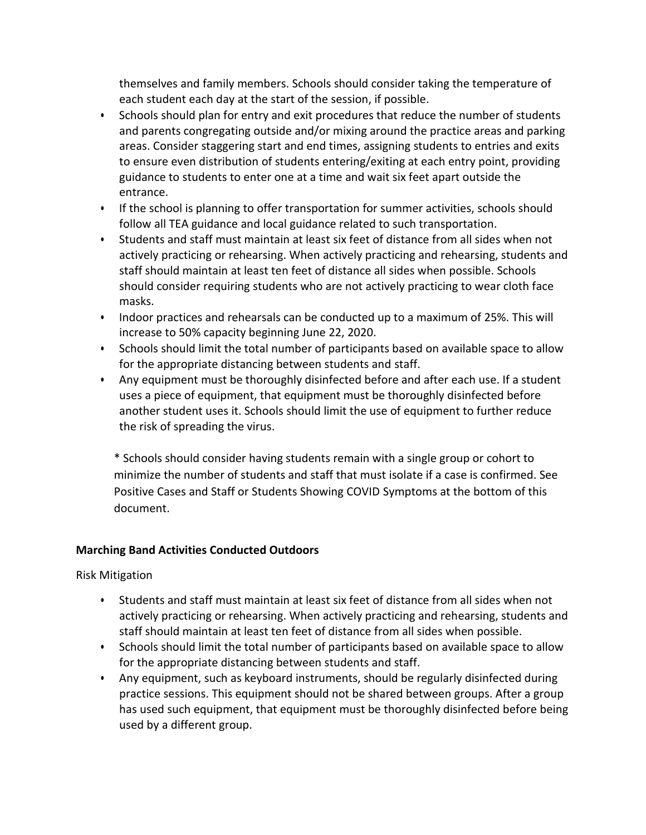themselves and family members. Schools should consider taking the temperature of each student each day at the start of the session, if possible.

- Schools should plan for entry and exit procedures that reduce the number of students and parents congregating outside and/or mixing around the practice areas and parking areas. Consider staggering start and end times, assigning students to entries and exits to ensure even distribution of students entering/exiting at each entry point, providing guidance to students to enter one at a time and wait six feet apart outside the entrance.
- If the school is planning to offer transportation for summer activities, schools should follow all TEA guidance and local guidance related to such transportation.
- Students and staff must maintain at least six feet of distance from all sides when not actively practicing or rehearsing. When actively practicing and rehearsing, students and staff should maintain at least ten feet of distance all sides when possible. Schools should consider requiring students who are not actively practicing to wear cloth face masks.
- Indoor practices and rehearsals can be conducted up to a maximum of 25%. This will increase to 50% capacity beginning June 22, 2020.
- Schools should limit the total number of participants based on available space to allow for the appropriate distancing between students and staff.
- Any equipment must be thoroughly disinfected before and after each use. If a student uses a piece of equipment, that equipment must be thoroughly disinfected before another student uses it. Schools should limit the use of equipment to further reduce the risk of spreading the virus.

\* Schools should consider having students remain with a single group or cohort to minimize the number of students and staff that must isolate if a case is confirmed. See Positive Cases and Staff or Students Showing COVID Symptoms at the bottom of this document.

# **Marching Band Activities Conducted Outdoors**

Risk Mitigation

- Students and staff must maintain at least six feet of distance from all sides when not actively practicing or rehearsing. When actively practicing and rehearsing, students and staff should maintain at least ten feet of distance from all sides when possible.
- Schools should limit the total number of participants based on available space to allow for the appropriate distancing between students and staff.
- Any equipment, such as keyboard instruments, should be regularly disinfected during practice sessions. This equipment should not be shared between groups. After a group has used such equipment, that equipment must be thoroughly disinfected before being used by a different group.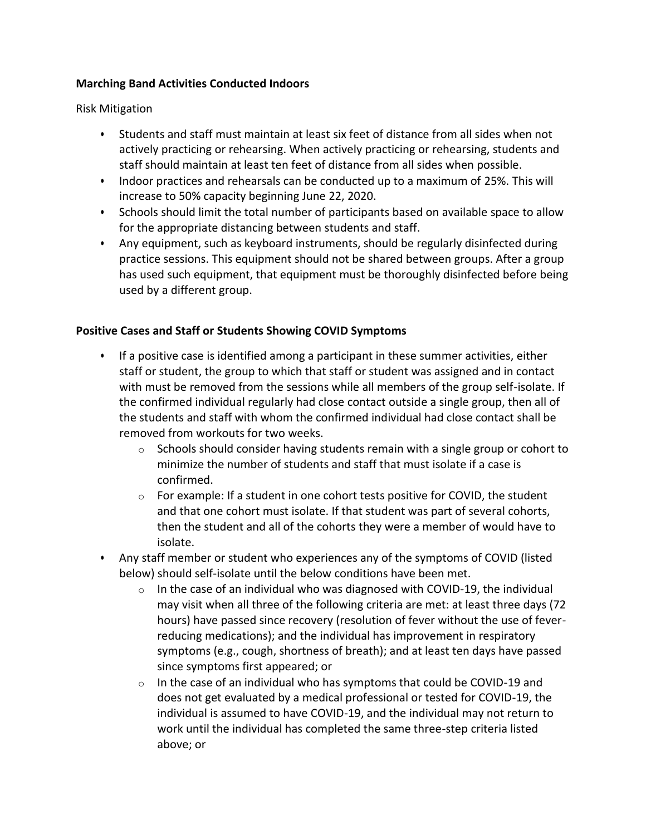## **Marching Band Activities Conducted Indoors**

Risk Mitigation

- Students and staff must maintain at least six feet of distance from all sides when not actively practicing or rehearsing. When actively practicing or rehearsing, students and staff should maintain at least ten feet of distance from all sides when possible.
- Indoor practices and rehearsals can be conducted up to a maximum of 25%. This will increase to 50% capacity beginning June 22, 2020.
- Schools should limit the total number of participants based on available space to allow for the appropriate distancing between students and staff.
- Any equipment, such as keyboard instruments, should be regularly disinfected during practice sessions. This equipment should not be shared between groups. After a group has used such equipment, that equipment must be thoroughly disinfected before being used by a different group.

### **Positive Cases and Staff or Students Showing COVID Symptoms**

- If a positive case is identified among a participant in these summer activities, either staff or student, the group to which that staff or student was assigned and in contact with must be removed from the sessions while all members of the group self-isolate. If the confirmed individual regularly had close contact outside a single group, then all of the students and staff with whom the confirmed individual had close contact shall be removed from workouts for two weeks.
	- o Schools should consider having students remain with a single group or cohort to minimize the number of students and staff that must isolate if a case is confirmed.
	- $\circ$  For example: If a student in one cohort tests positive for COVID, the student and that one cohort must isolate. If that student was part of several cohorts, then the student and all of the cohorts they were a member of would have to isolate.
- Any staff member or student who experiences any of the symptoms of COVID (listed below) should self-isolate until the below conditions have been met.
	- $\circ$  In the case of an individual who was diagnosed with COVID-19, the individual may visit when all three of the following criteria are met: at least three days (72 hours) have passed since recovery (resolution of fever without the use of feverreducing medications); and the individual has improvement in respiratory symptoms (e.g., cough, shortness of breath); and at least ten days have passed since symptoms first appeared; or
	- $\circ$  In the case of an individual who has symptoms that could be COVID-19 and does not get evaluated by a medical professional or tested for COVID-19, the individual is assumed to have COVID-19, and the individual may not return to work until the individual has completed the same three-step criteria listed above; or